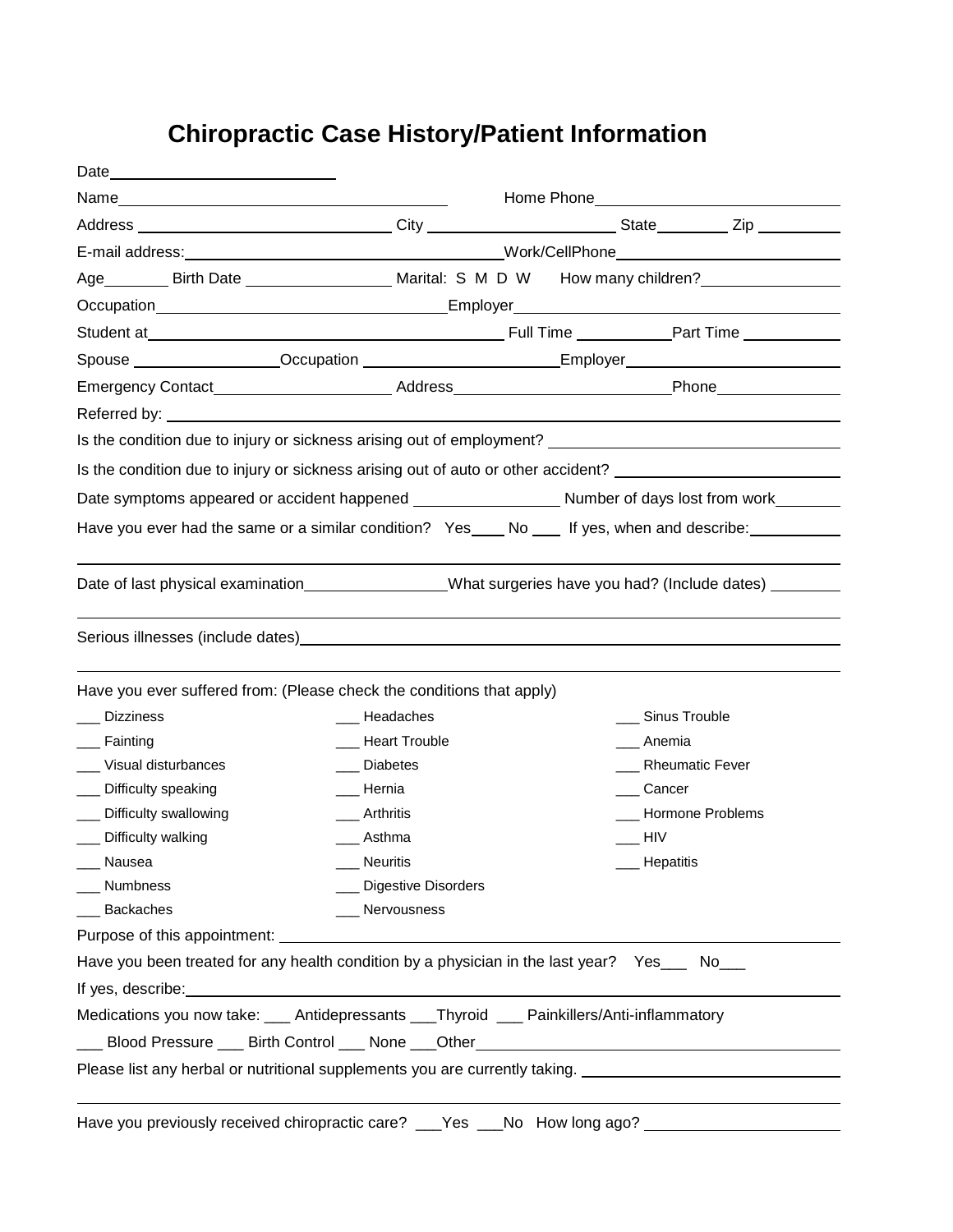## **Chiropractic Case History/Patient Information**

| Age _________ Birth Date _________________________________Marital: S M D W How many children?                  |                         |  |                              |                   |  |
|----------------------------------------------------------------------------------------------------------------|-------------------------|--|------------------------------|-------------------|--|
|                                                                                                                |                         |  |                              |                   |  |
|                                                                                                                |                         |  |                              |                   |  |
| Spouse __________________Occupation _______________________Employer________________________________            |                         |  |                              |                   |  |
| Emergency Contact_____________________________Address_____________________________Phone_____________           |                         |  |                              |                   |  |
|                                                                                                                |                         |  |                              |                   |  |
|                                                                                                                |                         |  |                              |                   |  |
| Is the condition due to injury or sickness arising out of auto or other accident? ____________________________ |                         |  |                              |                   |  |
|                                                                                                                |                         |  |                              |                   |  |
| Have you ever had the same or a similar condition? Yes____ No ___ If yes, when and describe: _______           |                         |  |                              |                   |  |
|                                                                                                                |                         |  |                              |                   |  |
|                                                                                                                |                         |  |                              |                   |  |
| Have you ever suffered from: (Please check the conditions that apply)                                          |                         |  |                              |                   |  |
| <b>Dizziness</b>                                                                                               | Headaches               |  |                              | ___ Sinus Trouble |  |
| Fainting                                                                                                       | __ Heart Trouble        |  | Anemia                       |                   |  |
| __ Visual disturbances                                                                                         | Diabetes                |  |                              | Rheumatic Fever   |  |
| ___ Difficulty speaking                                                                                        | ___ Hernia              |  | ___ Cancer                   |                   |  |
| __ Difficulty swallowing                                                                                       | Arthritis               |  |                              | Hormone Problems  |  |
| Difficulty walking                                                                                             | ___ Asthma              |  | $\overline{\phantom{0}}$ HIV |                   |  |
| __ Nausea                                                                                                      | Neuritis                |  |                              | Hepatitis         |  |
| Numbness                                                                                                       | ___ Digestive Disorders |  |                              |                   |  |
| __ Backaches                                                                                                   | ___ Nervousness         |  |                              |                   |  |
|                                                                                                                |                         |  |                              |                   |  |
| Have you been treated for any health condition by a physician in the last year? Yes___ No___                   |                         |  |                              |                   |  |
|                                                                                                                |                         |  |                              |                   |  |
| Medications you now take: ___ Antidepressants ___Thyroid ___ Painkillers/Anti-inflammatory                     |                         |  |                              |                   |  |
| ___ Blood Pressure ___ Birth Control ___ None ___Other__________________________                               |                         |  |                              |                   |  |
| Please list any herbal or nutritional supplements you are currently taking. __________________________________ |                         |  |                              |                   |  |
|                                                                                                                |                         |  |                              |                   |  |
| Have you previously received chiropractic care? ___Yes ___No How long ago? ________________________            |                         |  |                              |                   |  |